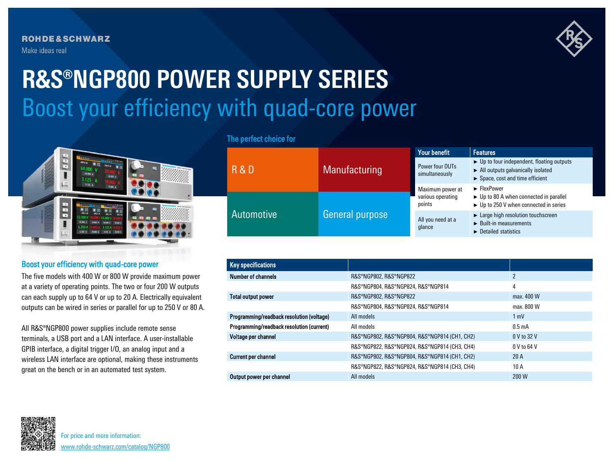**ROHDE&SCHWARZ** Make ideas real



## **R&S®NGP800 POWER SUPPLY SERIES** Boost your efficiency with quad-core power



## Boost your efficiency with quad-core power

The five models with 400 W or 800 W provide maximum power at a variety of operating points. The two or four 200 W outputs can each supply up to 64 V or up to 20 A. Electrically equivalent outputs can be wired in series or parallel for up to 250 V or 80 A.

All R&S®NGP800 power supplies include remote sense terminals, a USB port and a LAN interface. A user-installable GPIB interface, a digital trigger I/O, an analog input and a wireless LAN interface are optional, making these instruments great on the bench or in an automated test system.

The perfect choice for

| R & D             | <b>Manufacturing</b> | <b>Your benefit</b>                             | <b>Features</b>                                                                                                                                                              |
|-------------------|----------------------|-------------------------------------------------|------------------------------------------------------------------------------------------------------------------------------------------------------------------------------|
|                   |                      | Power four DUTs<br>simultaneously               | $\blacktriangleright$ Up to four independent, floating outputs<br>$\blacktriangleright$ All outputs galvanically isolated<br>$\triangleright$ Space, cost and time efficient |
| <b>Automotive</b> | General purpose      | Maximum power at<br>various operating<br>points | $\blacktriangleright$ FlexPower<br>$\triangleright$ Up to 80 A when connected in parallel                                                                                    |
|                   |                      |                                                 | $\triangleright$ Up to 250 V when connected in series                                                                                                                        |
|                   |                      | All you need at a<br>glance                     | $\blacktriangleright$ Large high resolution touchscreen<br>$\blacktriangleright$ Built-in measurements<br>$\blacktriangleright$ Detailed statistics                          |

| <b>Key specifications</b>                 |                                               |                  |
|-------------------------------------------|-----------------------------------------------|------------------|
| Number of channels                        | R&S®NGP802, R&S®NGP822                        | $\overline{2}$   |
|                                           | R&S®NGP804, R&S®NGP824, R&S®NGP814            | 4                |
| <b>Total output power</b>                 | R&S®NGP802, R&S®NGP822                        | max. 400 W       |
|                                           | R&S®NGP804, R&S®NGP824, R&S®NGP814            | max. 800 W       |
| Programming/readback resolution (voltage) | All models                                    | $1 \text{ mV}$   |
| Programming/readback resolution (current) | All models                                    | $0.5 \text{ mA}$ |
| Voltage per channel                       | R&S®NGP802, R&S®NGP804, R&S®NGP814 (CH1, CH2) | 0 V to 32 V      |
|                                           | R&S®NGP822, R&S®NGP824, R&S®NGP814 (CH3, CH4) | 0 V to 64 V      |
| <b>Current per channel</b>                | R&S®NGP802, R&S®NGP804, R&S®NGP814 (CH1, CH2) | 20A              |
|                                           | R&S®NGP822, R&S®NGP824, R&S®NGP814 (CH3, CH4) | 10A              |
| Output power per channel                  | All models                                    | 200 W            |